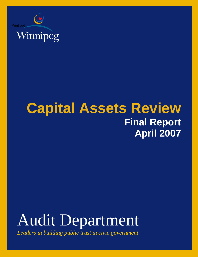

## **Capital Assets Review Final Report April 2007**

# Audit Department

*Leaders in building public trust in civic government*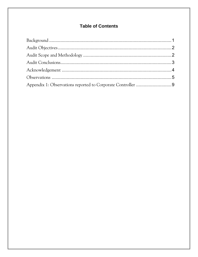### **Table of Contents**

| Appendix 1: Observations reported to Corporate Controller 9 |  |
|-------------------------------------------------------------|--|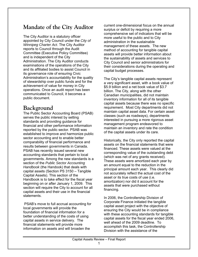## **Mandate of the City Auditor**

The City Auditor is a statutory officer appointed by City Council under the *City of Winnipeg Charter Act*. The City Auditor reports to Council through the Audit Committee (Executive Policy Committee) and is independent of the City Administration. The City Auditor conducts examinations of the operations of the City and its affiliated bodies to assist Council in its governance role of ensuring Civic Administration's accountability for the quality of stewardship over public funds and for the achievement of value for money in City operations. Once an audit report has been communicated to Council, it becomes a public document.

## **Background**

The Public Sector Accounting Board (PSAB) serves the public interest by setting standards and providing guidance for financial and other performance information reported by the public sector. PSAB was established to improve and harmonize public sector accounting and to enable better comparability of financial performance and results between governments in Canada. PSAB has recently issued several new accounting standards that pertain to local governments. Among the new standards is a section of the *Public Sector Accounting Handbook* (the Handook) that deals with capital assets (Section PS 3150 – Tangible Capital Assets). This section of the Handbook is to take effect for the fiscal year beginning on or after January 1, 2009. This section will require the City to account for all capital assets and their use in the financial statements.

 PSAB's move to full accrual accounting for local governments will provide the foundation of financial information for a better understanding of the costs of using capital assets in service delivery. The financial statements will provide more information on assets and will broaden the

current one-dimensional focus on the annual surplus or deficit by requiring a more comprehensive set of indicators that will be more useful to the public and to City administration in the sustainable management of these assets. The new method of accounting for tangible capital assets will provide better information about the sustainability of assets and services to City Council and senior administrators for their considerations during the operating and capital budget processes.

The City's tangible capital assets represent a very significant asset, with a book value of \$5.9 billion and a net book value of \$3.7 billion. The City, along with the other Canadian municipalities, did not maintain inventory information for all of its tangible capital assets because there was no specific requirement. Most City departments did not maintain capital asset data. For certain asset classes (such as roadways), departments interested in pursuing a more rigorous asset management program endeavored to maintain an inventory and rate the condition of the capital assets under its care.

Historically, the City only reported the capital assets on the financial statements that were financed. These assets were valued at the corresponding value of the outstanding debt (which was net of any grants received). These assets were amortized each year by an amount equal to the reduction in the principal amount each year. This clearly did not accurately reflect the actual cost of the asset or its true costs of use (i.e. amortization) nor did it account for the assets that were purchased without financing.

In 2006, the Controllership Division of Corporate Finance initiated the tangible capital asset project with the objective of ensuring the City would be in compliance with these accounting standards for tangible capital assets for the fiscal year ended 2006, well ahead of the 2009 deadline. To accomplish this task, the Controllership Division with the assistance of the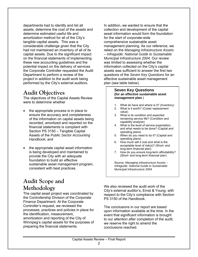departments had to identify and list all assets, determine the cost of the assets and determine estimated useful life and amortization method for all of the City's tangible capital assets. This was a considerable challenge given that the City had not maintained an inventory of all of its capital assets. Due to the significant impact on the financial statements of implementing these new accounting guidelines and the potential impact on the delivery of services the Corporate Controller requested the Audit Department to perform a review of the project in addition to the audit work being performed by the City's external auditors.

## **Audit Objectives**

The objectives of the Capital Assets Review were to determine whether

- the appropriate process is in place to ensure the accuracy and completeness of the information on capital assets being recorded, amortized and reported on the financial statements is compliant with Section PS 3150 – Tangible Capital Assets of the *Public Sector Accounting Handbook*; and
- the appropriate capital asset information is being developed and maintained to provide the City with an adequate foundation to build an effective sustainable asset management program, consistent with best practices.

## **Audit Scope and Methodology**

The capital asset project was coordinated by the Controllership Division of the Corporate Finance Department. At the Corporate Controller's request, we reviewed the processes, practices and policies in place for the identification, measurement, amortization and reporting of the City of Winnipeg's capital assets for the purposes of preparing the financial statements.

In addition, we wanted to ensure that the collection and development of the capital asset information would form the foundation for the start of corporate-wide comprehensive sustainable asset management planning. As our reference, we relied on the *Managing Infrastructure Assets – Infraguide: National Guide to Sustainable Municipal Infrastructure 2004*. Our review was limited to assessing whether the information collected on the City's capital assets was sufficient to answer the first two questions of the *Seven Key Questions* for an effective sustainable asset management plan (see table below).

#### **Seven Key Questions (for an effective sustainable asset management plan**.)

- 1. What do have and where is it? (Inventory)
- 2. What is it worth? (Costs/ replacement value)
- 3. What is its condition and expected remaining service life? (Condition and capability analysis)
- 4. What is the level of service expectation, and what needs to be done? (Capital and operating plans)
- 5. When do you need to do it? (Capital and operating plans)
- 6. How much will it cost and what is the acceptable level of risk(s)? (Short- and long-term financial plan)
- 7. How do you ensure long-term affordability? (Short- and long-term financial plan)

Source: *Managing Infrastructure Assets – Infraguide: National Guide to Sustainable Municipal Infrastructure 2004*

We also reviewed the audit work of the City's external auditor's, Ernst & Young, with respect to the City's compliance with Section PS 3150 of the Handbook.

The conclusions in our report are based upon information available at the time. In the event that significant information is brought to our attention after completion of the audit, we reserve the right to amend the conclusions reached.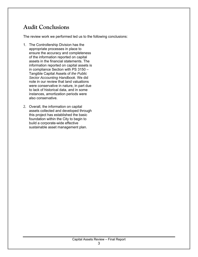## **Audit Conclusions**

The review work we performed led us to the following conclusions:

- 1. The Controllership Division has the appropriate processes in place to ensure the accuracy and completeness of the information reported on capital assets in the financial statements. The information reported on capital assets is in compliance Section with PS 3150 – Tangible Capital Assets of *the Public Sector Accounting Handbook.* We did note in our review that land valuations were conservative in nature, in part due to lack of historical data, and in some instances, amortization periods were also conservative.
- 2. Overall, the information on capital assets collected and developed through this project has established the basic foundation within the City to begin to build a corporate-wide effective sustainable asset management plan.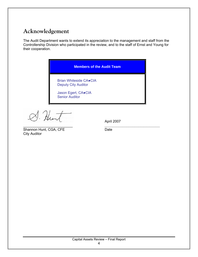## **Acknowledgement**

The Audit Department wants to extend its appreciation to the management and staff from the Controllership Division who participated in the review, and to the staff of Ernst and Young for their cooperation.



. Hunt

April 2007

\_\_\_\_\_\_\_\_\_\_\_\_\_\_\_\_\_\_\_\_\_\_\_\_\_ *\_\_\_\_\_\_\_\_\_\_\_\_\_\_\_\_\_\_\_\_\_\_\_\_\_\_\_\_* Shannon Hunt, CGA, CFE Date City Auditor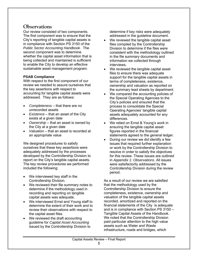#### **Observations**

Our review consisted of two components. The first component was to ensure that the City's reporting of tangible capital assets is in compliance with Section PS 3150 of the *Public Sector Accounting Handbook*. The second component was to determine whether the capital asset information that is being collected and maintained is sufficient to enable the City to develop an effective sustainable asset management program.

#### **PSAB Compliance**

With respect to the first component of our review we needed to assure ourselves that the key assertions with respect to accounting for tangible capital assets were addressed. They are as follows:

- *Completeness* that there are no unrecorded assets
- *Existence* that an asset of the City exists at a given date
- *Ownership* that an asset is owned by the City at a given date
- *Valuation* that an asset is recorded at an appropriate value

We designed procedures to satisfy ourselves that these key assertions were adequately addressed by the processes developed by the Controllership Division to report on the City's tangible capital assets. The key review procedures we performed included the following:

- We interviewed key staff in the Controllership Division.
- We reviewed their file summary notes to determine if the methodology used in recording and reporting on tangible capital assets was adequate.
- We interviewed Ernst and Young staff to determine the extent of their work and to review their observations with respect to the capital asset files.
- We reviewed the draft accounting guideline for *Capital Asset Accounting* issued by the Controllership Division to

determine if key risks were adequately addressed in the guideline document.

- We reviewed the tangible capital asset files compiled by the Controllership Division to determine if the files were consistent with the methodology outlined in the file summary documents and information we collected through interviews.
- We reviewed the tangible capital asset files to ensure there was adequate support for the tangible capital assets in terms of completeness, existence, ownership and valuation as reported on the summary lead sheets by department.
- We compared the accounting policies of the Special Operating Agencies to the City's policies and ensured that the process to consolidate the Special Operating Agencies' tangible capital assets adequately accounted for any differences.
- We relied on Ernst & Young's work in ensuring the tangible capital asset figures reported in the financial statements agreed to the general ledger.
- During our review we did identify a few issues that required further explanation or work by the Controllership Division to resolve in order to satisfy the objectives for this review. These issues are outlined in *Appendix 1: Observations*. All issues were satisfactorily addressed by the Controllership Division during the review period.

As a result of our review we are satisfied that the methodology used by the Controllership Division to ensure the completeness, existence, ownership and valuation of the tangible capital assets recorded, amortized and reported on the financial statements of the City is adequate and is in compliance with Section PS 3150 – Tangible Capital Assets of the Handbook. We noted that the Controllership Division paid particular attention to the high value assets such as Water and Waste infrastructure, roads and bridges, which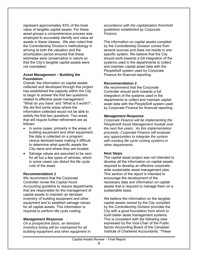represent approximately 83% of the book value of tangible capital assets. For these asset groups a comprehensive process was employed to accurately identify and value all assets in these classes. We also noted that the Controllership Division's methodology in arriving at both the valuation and the amortization period ensured that these estimates were conservative in nature so that the City's tangible capital assets were not overstated.

#### **Asset Management – Building the Foundation**

Overall, the information on capital assets collected and developed through this project has established the capacity within the City to begin to answer the first two questions related to effective asset management: "What do you have" and "What is it worth?". We did find some areas where the information collected would not be able to satisfy the first two questions. Two areas that will require further refinement are as follows:

- In some cases, primarily in the areas of building equipment and other equipment, the data is collected on a program versus itemized basis making it difficult to determine what specific assets the City owns and where they are located.
- Salvage values are assumed to be zero for all but a few types of vehicles, which in some cases can distort the life cycle cost of the asset.

#### **Recommendation 1**

We recommend that the Corporate Controller revise the *Capital Asset Accounting* guideline to require departments that are responsible for the management of capital assets to maintain an itemized inventory of building equipment and other equipment and to establish salvage values for all capital assets. This information is required to perform life cycle costing.

#### *Management Response*

*On a prospective basis, an itemized inventory listing will be maintained for all building equipment and other equipment in* *accordance with the capitalization threshold guidelines established by Corporate Finance.* 

The information on capital assets compiled by the Controllership Division comes from several sources and does not reside in one specific system. We believe that the City should work towards a full integration of the systems used in the departments to collect and maintain capital asset data with the PeopleSoft system used by Corporate Finance for financial reporting.

#### **Recommendation 2**

We recommend that the Corporate Controller should work towards a full integration of the systems used in the departments to collect and maintain capital asset data with the PeopleSoft system used by Corporate Finance for financial reporting.

#### *Management Response*

*Corporate Finance will be implementing the PeopleSoft Asset Management module over the next five years. As this implementation proceeds, Corporate Finance will evaluate any opportunities to integrate the system with existing life cycle costing systems in other departments.* 

#### **Next Steps**

The capital asset project was not intended to develop all the information on capital assets required to develop an effective corporatewide sustainable asset management plan. This section of the report is intended to encourage the development of the necessary data and information on capital assets that is required to manage them on a sustainable basis.

We believe the information on the tangible capital assets owned by the City compiled by the Controllership Division provides the City with a good foundation from which to build better asset management systems. This is consistent with the following view expressed by the Vice-Chair of the Public Sector Accounting Board of the Canadian Institute of Chartered Accountants: "These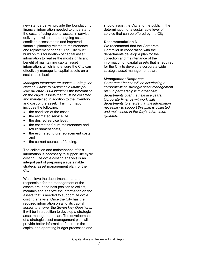new standards will provide the foundation of financial information needed to understand the costs of using capital assets in service delivery. It will promote ongoing asset condition assessments and improved financial planning related to maintenance and replacement needs." The City must build on this foundation of capital asset information to realize the most significant benefit of maintaining capital asset information, which is to ensure the City can effectively manage its capital assets on a sustainable basis.

*Managing Infrastructure Assets – Infraguide: National Guide to Sustainable Municipal Infrastructure 2004 identifies* the information on the capital assets that must be collected and maintained in addition to the inventory and cost of the asset. This information includes the following:

- the condition of the asset,
- the estimated service life,
- the desired service level.
- the estimated future maintenance and refurbishment costs,
- the estimated future replacement costs, and
- the current sources of funding.

The collection and maintenance of this information is necessary to support life cycle costing. Life cycle costing analysis is an integral part of preparing a sustainable strategic asset management plan for the City.

We believe the departments that are responsible for the management of the assets are in the best position to collect, maintain and analyze the information on the assets that is needed to support life cycle costing analysis. Once the City has the required information on all of its capital assets to answer the *Seven Key Questions,* it will be in a position to develop a strategic asset management plan. The development of a strategic asset management plan will provide better information for use in the capital and operating budget processes and

should assist the City and the public in the determination of a sustainable level of service that can be offered by the City.

#### **Recommendation 3**

We recommend that the Corporate Controller in cooperation with the departments develop a plan for the collection and maintenance of the information on capital assets that is required for the City to develop a corporate-wide strategic asset management plan.

#### *Management Response*

*Corporate Finance will be developing a corporate-wide strategic asset management plan in partnership with other civic departments over the next five years. Corporate Finance will work with departments to ensure that the information necessary to support this plan is collected and maintained in the City's information systems.*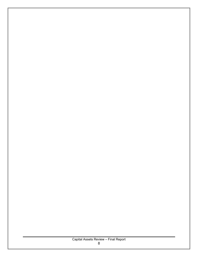#### Capital Assets Review – Final Report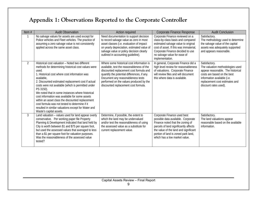## **Appendix 1: Observations Reported to the Corporate Controller**

| Item $#$      | <b>Audit Observation</b>                                                                                                                                                                                                                                                                                                                                                                                                                                                                                                                                                                              | Action required                                                                                                                                                                                                                                                                                          | Corporate Finance Response                                                                                                                                                                                                                                      | <b>Audit Conclusion</b>                                                                                                                                                                                         |
|---------------|-------------------------------------------------------------------------------------------------------------------------------------------------------------------------------------------------------------------------------------------------------------------------------------------------------------------------------------------------------------------------------------------------------------------------------------------------------------------------------------------------------------------------------------------------------------------------------------------------------|----------------------------------------------------------------------------------------------------------------------------------------------------------------------------------------------------------------------------------------------------------------------------------------------------------|-----------------------------------------------------------------------------------------------------------------------------------------------------------------------------------------------------------------------------------------------------------------|-----------------------------------------------------------------------------------------------------------------------------------------------------------------------------------------------------------------|
|               | No salvage values for assets are used except for<br>Police vehicles and Fleet vehicles. The practice of<br>assuming a zero salvage value is not consistently<br>applied across the same asset class.                                                                                                                                                                                                                                                                                                                                                                                                  | Need documentation to support decision<br>to record salvage value as zero in most<br>asset classes (i.e. evaluation of impact<br>on yearly depreciation, estimated value of<br>salvage value or policy decision clearly<br>outlined in accounting guideline).                                            | Corporate Finance reviewed on a<br>class-by-class basis and compared<br>estimated salvage value to original<br>cost of asset. If this was immaterial,<br>Corporate Finance decided to use<br>no salvage value for ease of<br>implementation.                    | Satisfactory.<br>The methodology used to determine<br>the salvage value of the capital<br>assets was adequately supported<br>and appears reasonable.                                                            |
| $\mathcal{P}$ | Historical cost valuation - Noted two different<br>methods for determining historical cost values were<br>used.<br>1. Historical cost where cost information was<br>available,<br>2. Discounted estimated replacement cost if actual<br>costs were not available (which is permitted under<br>PS 3150).<br>We noted that in some instances where historical<br>cost information was available for some assets<br>within an asset class the discounted replacement<br>cost formula was not tested to determine if it<br>resulted in similar valuations except for Water and<br>Waste's capital assets. | Where some historical cost information is<br>available, test the reasonableness of the<br>discounted replacement cost formula and<br>quantify the potential differences, if any.<br>Document any reasonableness tests<br>performed on the values produced by the<br>discounted replacement cost formula. | In general, Corporate Finance did a<br>high level review for reasonableness<br>of valuations. Corporate Finance<br>will review files and will document<br>this where data is available.                                                                         | Satisfactory.<br>The valuation methodologies used<br>appear reasonable. The historical<br>costs are based on the best<br>information available (i.e.<br>replacement cost estimates and<br>discount rates used). |
| 3             | Land valuation - values used for land appear overly<br>conservative. Per working paper file Property<br>Planning & Development indicated that land held by<br>City is worth between \$1 and \$75 per square foot,<br>but used the assessed values that averaged to less<br>than a \$1 per square foot for valuation purposes.<br>Was the reasonableness of the assessed value<br>tested?                                                                                                                                                                                                              | Determine, if possible, the extent to<br>which the land may be undervalued<br>and/or test the reasonableness of using<br>the assessed value as a substitute for<br>current replacement value.                                                                                                            | Corporate Finance used best<br>possible data available. Corporate<br>Finance noted that the zoning of<br>parcels of land significantly affects<br>the value of the land and significant<br>portion of land is zoned park land,<br>which has a low market value. | Satisfactory.<br>The land valuations appear<br>reasonable based on the available<br>information.                                                                                                                |